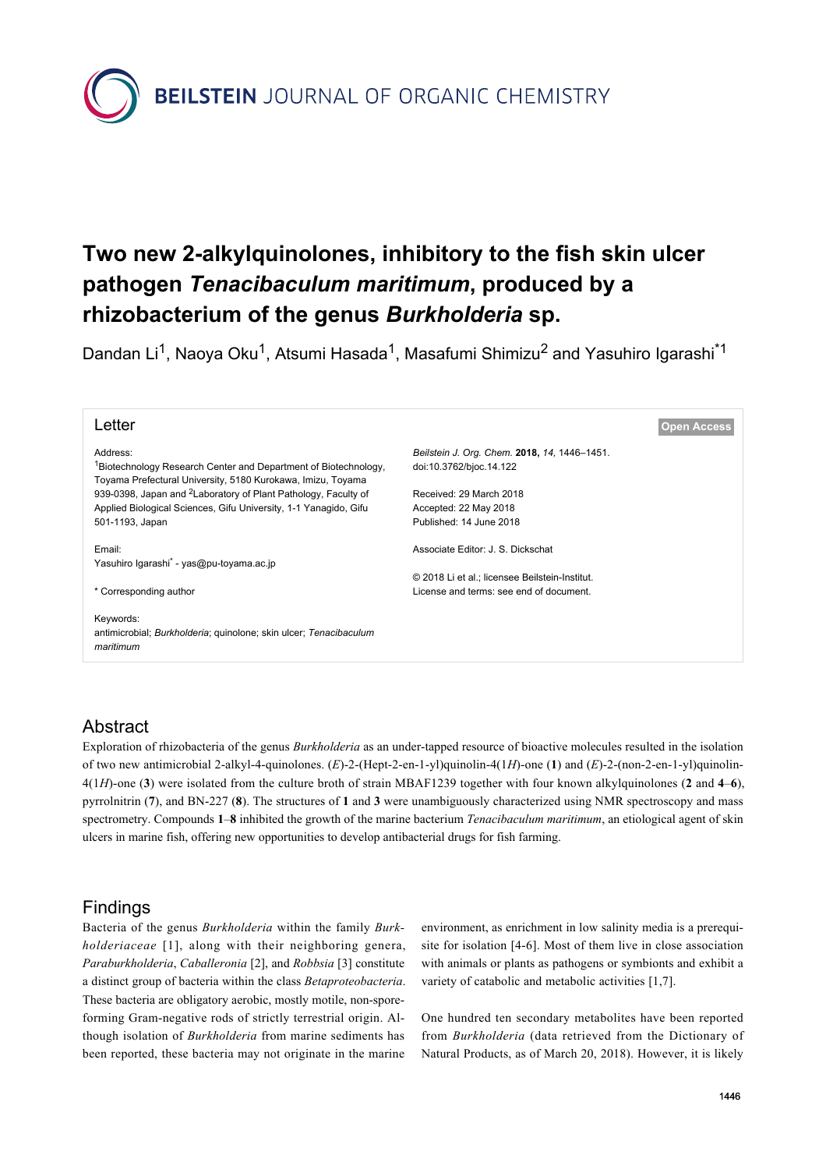**BEILSTEIN** JOURNAL OF ORGANIC CHEMISTRY

# **Two new 2-alkylquinolones, inhibitory to the fish skin ulcer pathogen** *Tenacibaculum maritimum***, produced by a rhizobacterium of the genus** *Burkholderia* **sp.**

Dandan Li<sup>1</sup>, Naoya Oku<sup>1</sup>, Atsumi Hasada<sup>1</sup>, Masafumi Shimizu<sup>2</sup> and Yasuhiro Igarashi<sup>\*1</sup>

| Letter                                                                                                                                     | <b>Open Access</b>                             |  |
|--------------------------------------------------------------------------------------------------------------------------------------------|------------------------------------------------|--|
| Address:                                                                                                                                   | Beilstein J. Org. Chem. 2018, 14, 1446-1451.   |  |
| <sup>1</sup> Biotechnology Research Center and Department of Biotechnology,<br>Toyama Prefectural University, 5180 Kurokawa, Imizu, Toyama | doi:10.3762/bjoc.14.122                        |  |
| 939-0398, Japan and <sup>2</sup> Laboratory of Plant Pathology, Faculty of                                                                 | Received: 29 March 2018                        |  |
| Applied Biological Sciences, Gifu University, 1-1 Yanagido, Gifu                                                                           | Accepted: 22 May 2018                          |  |
| 501-1193, Japan                                                                                                                            | Published: 14 June 2018                        |  |
|                                                                                                                                            |                                                |  |
| Email:                                                                                                                                     | Associate Editor: J. S. Dickschat              |  |
| Yasuhiro Igarashi <sup>*</sup> - yas@pu-toyama.ac.jp                                                                                       |                                                |  |
|                                                                                                                                            | © 2018 Li et al.; licensee Beilstein-Institut. |  |
| * Corresponding author                                                                                                                     | License and terms: see end of document.        |  |
|                                                                                                                                            |                                                |  |
| Keywords:                                                                                                                                  |                                                |  |
| antimicrobial; Burkholderia; quinolone; skin ulcer; Tenacibaculum                                                                          |                                                |  |
| maritimum                                                                                                                                  |                                                |  |
|                                                                                                                                            |                                                |  |
|                                                                                                                                            |                                                |  |

# Abstract

Exploration of rhizobacteria of the genus *Burkholderia* as an under-tapped resource of bioactive molecules resulted in the isolation of two new antimicrobial 2-alkyl-4-quinolones. (*E*)-2-(Hept-2-en-1-yl)quinolin-4(1*H*)-one (**1**) and (*E*)-2-(non-2-en-1-yl)quinolin-4(1*H*)-one (**3**) were isolated from the culture broth of strain MBAF1239 together with four known alkylquinolones (**2** and **4**–**6**), pyrrolnitrin (**7**), and BN-227 (**8**). The structures of **1** and **3** were unambiguously characterized using NMR spectroscopy and mass spectrometry. Compounds **1**–**8** inhibited the growth of the marine bacterium *Tenacibaculum maritimum*, an etiological agent of skin ulcers in marine fish, offering new opportunities to develop antibacterial drugs for fish farming.

## Findings

Bacteria of the genus *Burkholderia* within the family *Burkholderiaceae* [\[1\]](#page-4-0), along with their neighboring genera, *Paraburkholderia*, *Caballeronia* [\[2\],](#page-4-1) and *Robbsia* [\[3\]](#page-4-2) constitute a distinct group of bacteria within the class *Betaproteobacteria*. These bacteria are obligatory aerobic, mostly motile, non-sporeforming Gram-negative rods of strictly terrestrial origin. Although isolation of *Burkholderia* from marine sediments has been reported, these bacteria may not originate in the marine

environment, as enrichment in low salinity media is a prerequisite for isolation [\[4-6\].](#page-4-3) Most of them live in close association with animals or plants as pathogens or symbionts and exhibit a variety of catabolic and metabolic activities [\[1,7\].](#page-4-0)

One hundred ten secondary metabolites have been reported from *Burkholderia* (data retrieved from the Dictionary of Natural Products, as of March 20, 2018). However, it is likely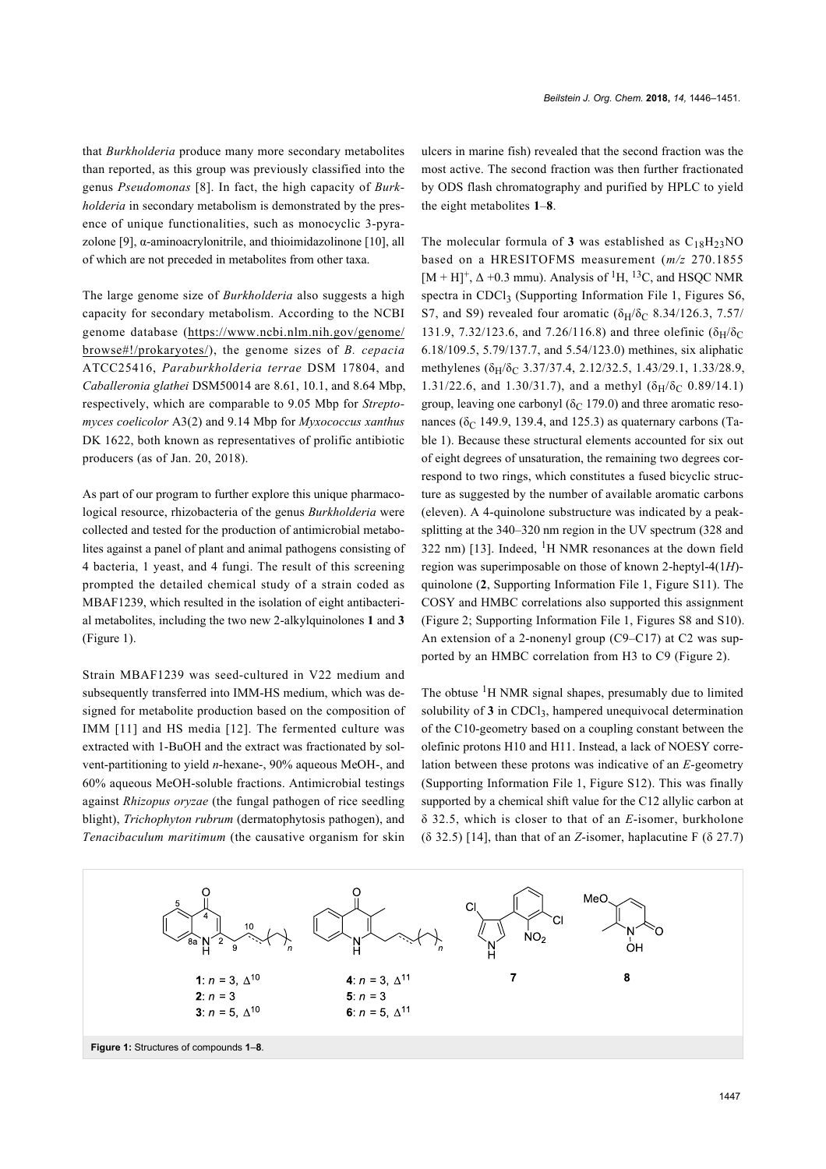that *Burkholderia* produce many more secondary metabolites than reported, as this group was previously classified into the genus *Pseudomonas* [\[8\].](#page-4-4) In fact, the high capacity of *Burkholderia* in secondary metabolism is demonstrated by the presence of unique functionalities, such as monocyclic 3-pyra-zolone [\[9\]](#page-4-5),  $\alpha$ -aminoacrylonitrile, and thioimidazolinone [\[10\],](#page-4-6) all of which are not preceded in metabolites from other taxa.

The large genome size of *Burkholderia* also suggests a high capacity for secondary metabolism. According to the NCBI genome database ([https://www.ncbi.nlm.nih.gov/genome/](https://www.ncbi.nlm.nih.gov/genome/browse#!/prokaryotes/) [browse#!/prokaryotes/](https://www.ncbi.nlm.nih.gov/genome/browse#!/prokaryotes/)), the genome sizes of *B. cepacia* ATCC25416, *Paraburkholderia terrae* DSM 17804, and *Caballeronia glathei* DSM50014 are 8.61, 10.1, and 8.64 Mbp, respectively, which are comparable to 9.05 Mbp for *Streptomyces coelicolor* A3(2) and 9.14 Mbp for *Myxococcus xanthus* DK 1622, both known as representatives of prolific antibiotic producers (as of Jan. 20, 2018).

As part of our program to further explore this unique pharmacological resource, rhizobacteria of the genus *Burkholderia* were collected and tested for the production of antimicrobial metabolites against a panel of plant and animal pathogens consisting of 4 bacteria, 1 yeast, and 4 fungi. The result of this screening prompted the detailed chemical study of a strain coded as MBAF1239, which resulted in the isolation of eight antibacterial metabolites, including the two new 2-alkylquinolones **1** and **3** ([Figure 1\)](#page-1-0).

Strain MBAF1239 was seed-cultured in V22 medium and subsequently transferred into IMM-HS medium, which was designed for metabolite production based on the composition of IMM [\[11\]](#page-4-7) and HS media [\[12\].](#page-4-8) The fermented culture was extracted with 1-BuOH and the extract was fractionated by solvent-partitioning to yield *n*-hexane-, 90% aqueous MeOH-, and 60% aqueous MeOH-soluble fractions. Antimicrobial testings against *Rhizopus oryzae* (the fungal pathogen of rice seedling blight), *Trichophyton rubrum* (dermatophytosis pathogen), and *Tenacibaculum maritimum* (the causative organism for skin

ulcers in marine fish) revealed that the second fraction was the most active. The second fraction was then further fractionated by ODS flash chromatography and purified by HPLC to yield the eight metabolites **1**–**8**.

The molecular formula of **3** was established as  $C_{18}H_{23}NO$ based on a HRESITOFMS measurement (*m/z* 270.1855  $[M + H]^+, \Delta + 0.3$  mmu). Analysis of <sup>1</sup>H, <sup>13</sup>C, and HSQC NMR spectra in CDCl<sub>3</sub> [\(Supporting Information File 1](#page-4-9), Figures S6, S7, and S9) revealed four aromatic ( $\delta_H/\delta_C$  8.34/126.3, 7.57/ 131.9, 7.32/123.6, and 7.26/116.8) and three olefinic ( $\delta_H/\delta_C$ 6.18/109.5, 5.79/137.7, and 5.54/123.0) methines, six aliphatic methylenes ( $\delta_H/\delta_C$  3.37/37.4, 2.12/32.5, 1.43/29.1, 1.33/28.9, 1.31/22.6, and 1.30/31.7), and a methyl  $(\delta_H/\delta_C 0.89/14.1)$ group, leaving one carbonyl ( $\delta$ C 179.0) and three aromatic resonances ( $\delta$ C 149.9, 139.4, and 125.3) as quaternary carbons ([Ta](#page-2-0)[ble 1\)](#page-2-0). Because these structural elements accounted for six out of eight degrees of unsaturation, the remaining two degrees correspond to two rings, which constitutes a fused bicyclic structure as suggested by the number of available aromatic carbons (eleven). A 4-quinolone substructure was indicated by a peaksplitting at the 340–320 nm region in the UV spectrum (328 and 322 nm) [\[13\].](#page-4-10) Indeed,  ${}^{1}H$  NMR resonances at the down field region was superimposable on those of known 2-heptyl-4(1*H*) quinolone (**2**, [Supporting Information File 1](#page-4-9), Figure S11). The COSY and HMBC correlations also supported this assignment ([Figure 2;](#page-2-1) [Supporting Information File 1,](#page-4-9) Figures S8 and S10). An extension of a 2-nonenyl group (C9–C17) at C2 was supported by an HMBC correlation from H3 to C9 [\(Figure 2](#page-2-1)).

The obtuse <sup>1</sup>H NMR signal shapes, presumably due to limited solubility of  $3$  in CDCl<sub>3</sub>, hampered unequivocal determination of the C10-geometry based on a coupling constant between the olefinic protons H10 and H11. Instead, a lack of NOESY correlation between these protons was indicative of an *E*-geometry ([Supporting Information File 1,](#page-4-9) Figure S12). This was finally supported by a chemical shift value for the C12 allylic carbon at δ 32.5, which is closer to that of an *E*-isomer, burkholone (δ 32.5) [\[14\]](#page-4-11), than that of an *Z*-isomer, haplacutine F (δ 27.7)

<span id="page-1-0"></span>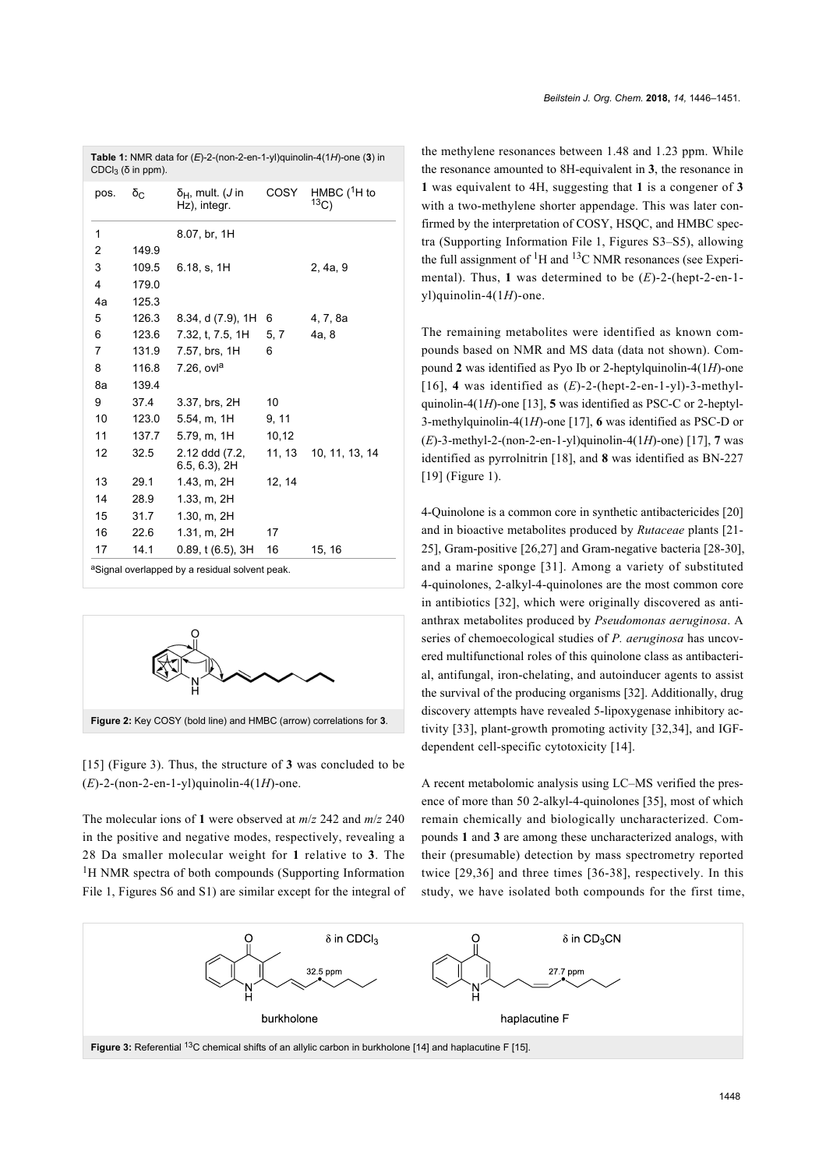| CDCl <sub>3</sub> ( $\delta$ in ppm). |                |                                                  |        |                        |
|---------------------------------------|----------------|--------------------------------------------------|--------|------------------------|
| pos.                                  | δ <sub>C</sub> | $\delta_H$ , mult. ( <i>J</i> in<br>Hz), integr. | COSY   | HMBC $(^1H$ to<br>13C) |
| 1                                     |                | 8.07, br, 1H                                     |        |                        |
| 2                                     | 149.9          |                                                  |        |                        |
| 3                                     | 109.5          | 6.18, s, 1H                                      |        | 2, 4a, 9               |
| 4                                     | 179.0          |                                                  |        |                        |
| 4a                                    | 125.3          |                                                  |        |                        |
| 5                                     | 126.3          | 8.34, d (7.9), 1H                                | 6      | 4, 7, 8a               |
| 6                                     | 123.6          | 7.32, t, 7.5, 1H                                 | 5, 7   | 4a, 8                  |
| 7                                     | 131.9          | 7.57, brs, 1H                                    | 6      |                        |
| 8                                     | 116.8          | $7.26$ , ovl <sup>a</sup>                        |        |                        |
| 8a                                    | 139.4          |                                                  |        |                        |
| 9                                     | 37.4           | 3.37, brs, 2H                                    | 10     |                        |
| 10                                    | 123.0          | 5.54, m, 1H                                      | 9, 11  |                        |
| 11                                    | 137.7          | 5.79, m, 1H                                      | 10,12  |                        |
| 12                                    | 32.5           | 2.12 ddd (7.2,<br>$6.5, 6.3$ ), $2H$             | 11, 13 | 10, 11, 13, 14         |
| 13                                    | 29.1           | 1.43, m, 2H                                      | 12, 14 |                        |
| 14                                    | 28.9           | 1.33, m, 2H                                      |        |                        |
| 15                                    | 31.7           | 1.30, m, 2H                                      |        |                        |
| 16                                    | 22.6           | 1.31, m, 2H                                      | 17     |                        |
| 17                                    | 14.1           | 0.89, t(6.5), 3H                                 | 16     | 15, 16                 |
|                                       |                |                                                  |        |                        |

<span id="page-2-0"></span>**Table 1:** NMR data for (*E*)-2-(non-2-en-1-yl)quinolin-4(1*H*)-one (**3**) in

<span id="page-2-1"></span>aSignal overlapped by a residual solvent peak.



[\[15\]](#page-4-12) [\(Figure 3\)](#page-2-2). Thus, the structure of **3** was concluded to be (*E*)-2-(non-2-en-1-yl)quinolin-4(1*H*)-one.

The molecular ions of **1** were observed at *m*/*z* 242 and *m*/*z* 240 in the positive and negative modes, respectively, revealing a 28 Da smaller molecular weight for **1** relative to **3**. The <sup>1</sup>H NMR spectra of both compounds [\(Supporting Information](#page-4-9) [File 1,](#page-4-9) Figures S6 and S1) are similar except for the integral of

the methylene resonances between 1.48 and 1.23 ppm. While the resonance amounted to 8H-equivalent in **3**, the resonance in **1** was equivalent to 4H, suggesting that **1** is a congener of **3** with a two-methylene shorter appendage. This was later confirmed by the interpretation of COSY, HSQC, and HMBC spectra ([Supporting Information File 1,](#page-4-9) Figures S3–S5), allowing the full assignment of  ${}^{1}H$  and  ${}^{13}C$  NMR resonances (see Experimental). Thus, **1** was determined to be (*E*)-2-(hept-2-en-1 yl)quinolin-4(1*H*)-one.

The remaining metabolites were identified as known compounds based on NMR and MS data (data not shown). Compound **2** was identified as Pyo Ib or 2-heptylquinolin-4(1*H*)-one [\[16\]](#page-4-13), **4** was identified as (*E*)-2-(hept-2-en-1-yl)-3-methylquinolin-4(1*H*)-one [\[13\]](#page-4-10), **5** was identified as PSC-C or 2-heptyl-3-methylquinolin-4(1*H*)-one [\[17\],](#page-4-14) **6** was identified as PSC-D or (*E*)-3-methyl-2-(non-2-en-1-yl)quinolin-4(1*H*)-one) [\[17\],](#page-4-14) **7** was identified as pyrrolnitrin [\[18\],](#page-4-15) and **8** was identified as BN-227 [\[19\]](#page-4-16) ([Figure 1\)](#page-1-0).

4-Quinolone is a common core in synthetic antibactericides [\[20\]](#page-4-17) and in bioactive metabolites produced by *Rutaceae* plants [\[21-](#page-5-0) [25\],](#page-5-0) Gram-positive [\[26,27\]](#page-5-1) and Gram-negative bacteria [\[28-30\]](#page-5-2), and a marine sponge [\[31\]](#page-5-3). Among a variety of substituted 4-quinolones, 2-alkyl-4-quinolones are the most common core in antibiotics [\[32\],](#page-5-4) which were originally discovered as antianthrax metabolites produced by *Pseudomonas aeruginosa*. A series of chemoecological studies of *P. aeruginosa* has uncovered multifunctional roles of this quinolone class as antibacterial, antifungal, iron-chelating, and autoinducer agents to assist the survival of the producing organisms [\[32\]](#page-5-4). Additionally, drug discovery attempts have revealed 5-lipoxygenase inhibitory activity [\[33\]](#page-5-5), plant-growth promoting activity [\[32,34\]](#page-5-4), and IGFdependent cell-specific cytotoxicity [\[14\]](#page-4-11).

A recent metabolomic analysis using LC–MS verified the presence of more than 50 2-alkyl-4-quinolones [\[35\]](#page-5-6), most of which remain chemically and biologically uncharacterized. Compounds **1** and **3** are among these uncharacterized analogs, with their (presumable) detection by mass spectrometry reported twice [\[29,36\]](#page-5-7) and three times [\[36-38\],](#page-5-8) respectively. In this study, we have isolated both compounds for the first time,

<span id="page-2-2"></span>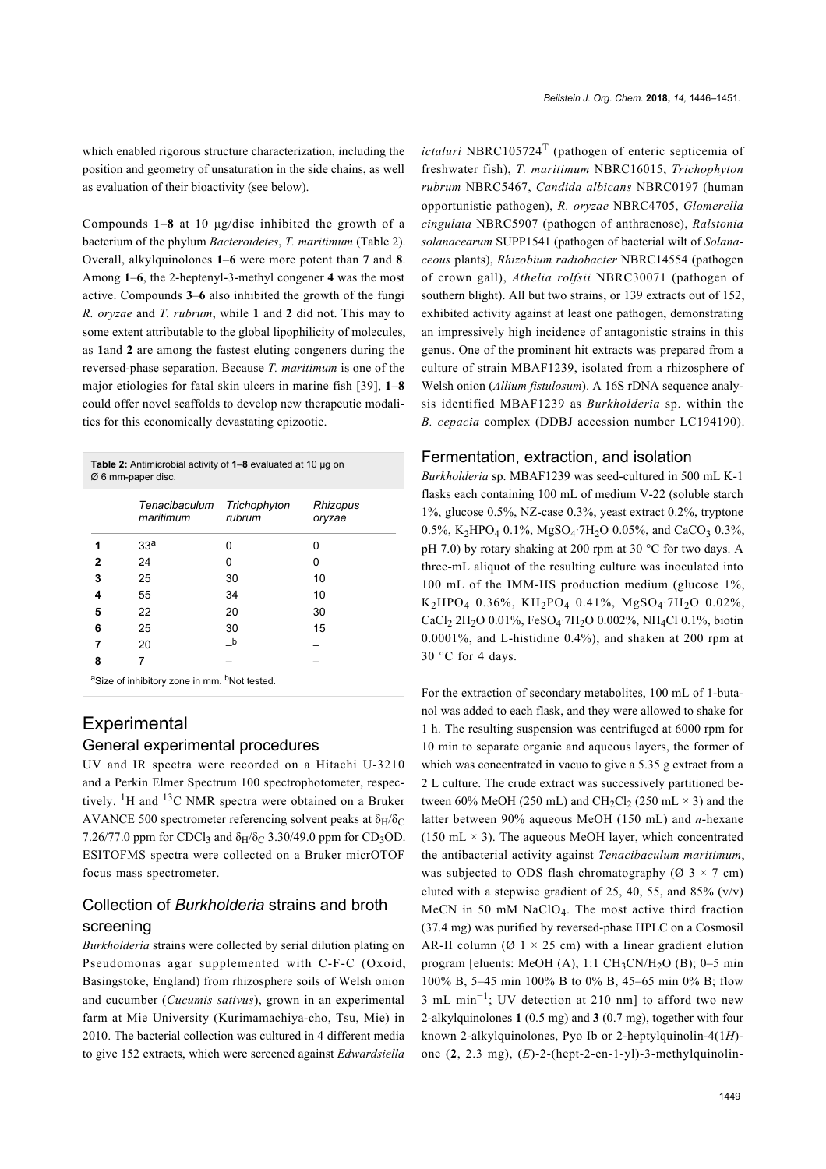which enabled rigorous structure characterization, including the position and geometry of unsaturation in the side chains, as well as evaluation of their bioactivity (see below).

Compounds **1**–**8** at 10 μg/disc inhibited the growth of a bacterium of the phylum *Bacteroidetes*, *T. maritimum* ([Table 2](#page-3-0)). Overall, alkylquinolones **1**–**6** were more potent than **7** and **8**. Among **1**–**6**, the 2-heptenyl-3-methyl congener **4** was the most active. Compounds **3**–**6** also inhibited the growth of the fungi *R. oryzae* and *T. rubrum*, while **1** and **2** did not. This may to some extent attributable to the global lipophilicity of molecules, as **1**and **2** are among the fastest eluting congeners during the reversed-phase separation. Because *T. maritimum* is one of the major etiologies for fatal skin ulcers in marine fish [\[39\]](#page-5-9), **1**–**8** could offer novel scaffolds to develop new therapeutic modalities for this economically devastating epizootic.

<span id="page-3-0"></span>

| Table 2: Antimicrobial activity of 1-8 evaluated at 10 µg on<br>Ø 6 mm-paper disc. |                            |                        |                    |  |  |  |
|------------------------------------------------------------------------------------|----------------------------|------------------------|--------------------|--|--|--|
|                                                                                    | Tenacibaculum<br>maritimum | Trichophyton<br>rubrum | Rhizopus<br>oryzae |  |  |  |
| 1                                                                                  | 33 <sup>a</sup>            | 0                      | ŋ                  |  |  |  |
| 2                                                                                  | 24                         | Ω                      | 0                  |  |  |  |
| 3                                                                                  | 25                         | 30                     | 10                 |  |  |  |
| 4                                                                                  | 55                         | 34                     | 10                 |  |  |  |
| 5                                                                                  | 22                         | 20                     | 30                 |  |  |  |
| 6                                                                                  | 25                         | 30                     | 15                 |  |  |  |
| 7                                                                                  | 20                         | b                      |                    |  |  |  |
| 8                                                                                  | 7                          |                        |                    |  |  |  |
| <sup>a</sup> Size of inhibitory zone in mm. <sup>b</sup> Not tested.               |                            |                        |                    |  |  |  |

## **Experimental** General experimental procedures

UV and IR spectra were recorded on a Hitachi U-3210 and a Perkin Elmer Spectrum 100 spectrophotometer, respectively. 1H and 13C NMR spectra were obtained on a Bruker AVANCE 500 spectrometer referencing solvent peaks at  $\delta_H/\delta_C$ 7.26/77.0 ppm for CDCl<sub>3</sub> and  $\delta_H/\delta_C$  3.30/49.0 ppm for CD<sub>3</sub>OD. ESITOFMS spectra were collected on a Bruker micrOTOF focus mass spectrometer.

## Collection of *Burkholderia* strains and broth screening

*Burkholderia* strains were collected by serial dilution plating on Pseudomonas agar supplemented with C-F-C (Oxoid, Basingstoke, England) from rhizosphere soils of Welsh onion and cucumber (*Cucumis sativus*), grown in an experimental farm at Mie University (Kurimamachiya-cho, Tsu, Mie) in 2010. The bacterial collection was cultured in 4 different media to give 152 extracts, which were screened against *Edwardsiella*

*ictaluri* NBRC105724T (pathogen of enteric septicemia of freshwater fish), *T. maritimum* NBRC16015, *Trichophyton rubrum* NBRC5467, *Candida albicans* NBRC0197 (human opportunistic pathogen), *R. oryzae* NBRC4705, *Glomerella cingulata* NBRC5907 (pathogen of anthracnose), *Ralstonia solanacearum* SUPP1541 (pathogen of bacterial wilt of *Solanaceous* plants), *Rhizobium radiobacter* NBRC14554 (pathogen of crown gall), *Athelia rolfsii* NBRC30071 (pathogen of southern blight). All but two strains, or 139 extracts out of 152, exhibited activity against at least one pathogen, demonstrating an impressively high incidence of antagonistic strains in this genus. One of the prominent hit extracts was prepared from a culture of strain MBAF1239, isolated from a rhizosphere of Welsh onion (*Allium fistulosum*). A 16S rDNA sequence analysis identified MBAF1239 as *Burkholderia* sp. within the *B. cepacia* complex (DDBJ accession number LC194190).

#### Fermentation, extraction, and isolation

*Burkholderia* sp. MBAF1239 was seed-cultured in 500 mL K-1 flasks each containing 100 mL of medium V-22 (soluble starch 1%, glucose 0.5%, NZ-case 0.3%, yeast extract 0.2%, tryptone  $0.5\%$ , K<sub>2</sub>HPO<sub>4</sub> 0.1%, MgSO<sub>4</sub>·7H<sub>2</sub>O 0.05%, and CaCO<sub>3</sub> 0.3%, pH 7.0) by rotary shaking at 200 rpm at 30 °C for two days. A three-mL aliquot of the resulting culture was inoculated into 100 mL of the IMM-HS production medium (glucose 1%, K2HPO4 0.36%, KH2PO4 0.41%, MgSO4·7H2O 0.02%, CaCl<sub>2</sub>·2H<sub>2</sub>O 0.01%, FeSO<sub>4</sub>·7H<sub>2</sub>O 0.002%, NH<sub>4</sub>Cl 0.1%, biotin 0.0001%, and L-histidine 0.4%), and shaken at 200 rpm at 30 °C for 4 days.

For the extraction of secondary metabolites, 100 mL of 1-butanol was added to each flask, and they were allowed to shake for 1 h. The resulting suspension was centrifuged at 6000 rpm for 10 min to separate organic and aqueous layers, the former of which was concentrated in vacuo to give a 5.35 g extract from a 2 L culture. The crude extract was successively partitioned between 60% MeOH (250 mL) and CH<sub>2</sub>Cl<sub>2</sub> (250 mL  $\times$  3) and the latter between 90% aqueous MeOH (150 mL) and *n*-hexane (150 mL  $\times$  3). The aqueous MeOH layer, which concentrated the antibacterial activity against *Tenacibaculum maritimum*, was subjected to ODS flash chromatography ( $\varnothing$  3 × 7 cm) eluted with a stepwise gradient of 25, 40, 55, and 85%  $(v/v)$ MeCN in 50 mM NaClO<sup>4</sup> . The most active third fraction (37.4 mg) was purified by reversed-phase HPLC on a Cosmosil AR-II column ( $\varnothing$  1 × 25 cm) with a linear gradient elution program [eluents: MeOH (A), 1:1 CH<sub>3</sub>CN/H<sub>2</sub>O (B); 0-5 min 100% B, 5–45 min 100% B to 0% B, 45–65 min 0% B; flow 3 mL min−<sup>1</sup> ; UV detection at 210 nm] to afford two new 2-alkylquinolones **1** (0.5 mg) and **3** (0.7 mg), together with four known 2-alkylquinolones, Pyo Ib or 2-heptylquinolin-4(1*H*) one (**2**, 2.3 mg), (*E*)-2-(hept-2-en-1-yl)-3-methylquinolin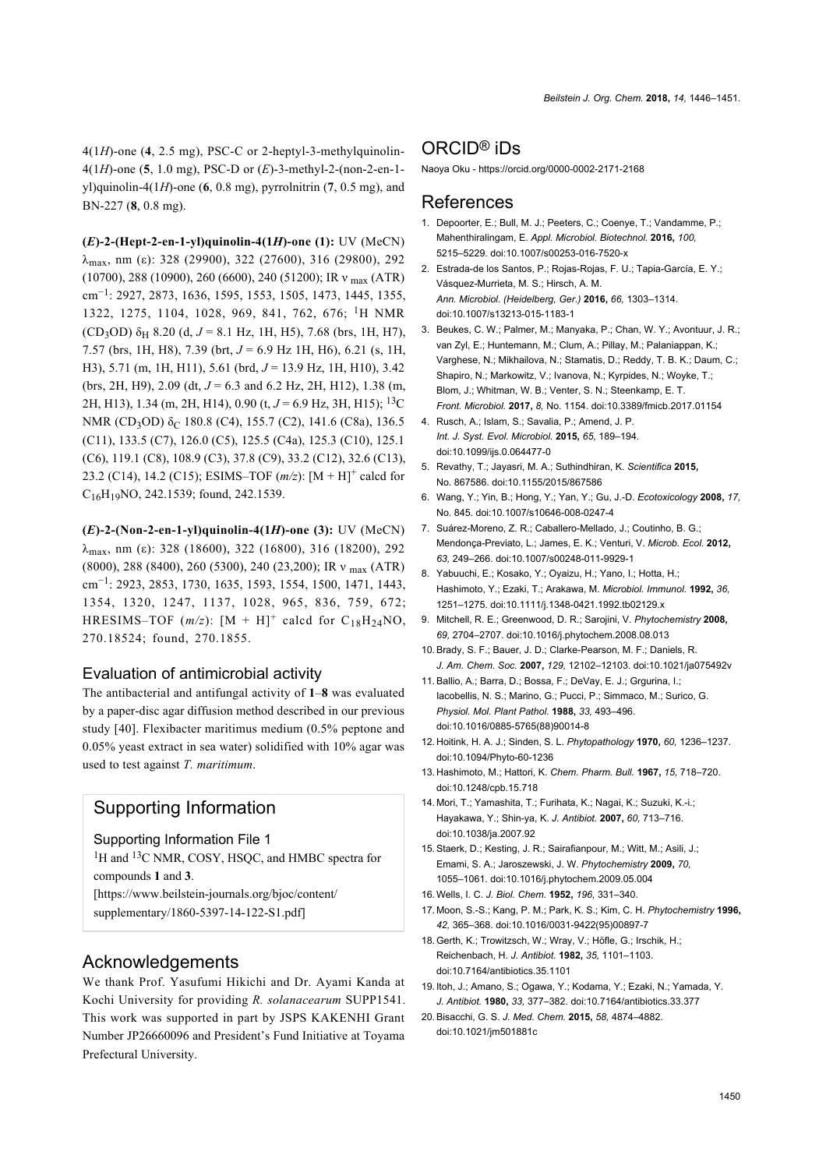4(1*H*)-one (**4**, 2.5 mg), PSC-C or 2-heptyl-3-methylquinolin-4(1*H*)-one (**5**, 1.0 mg), PSC-D or (*E*)-3-methyl-2-(non-2-en-1 yl)quinolin-4( $1H$ )-one ( $6$ ,  $0.8$  mg), pyrrolnitrin ( $7$ ,  $0.5$  mg), and BN-227 (**8**, 0.8 mg).

**(***E***)-2-(Hept-2-en-1-yl)quinolin-4(1***H***)-one (1):** UV (MeCN)  $λ_{max}$ , nm (ε): 328 (29900), 322 (27600), 316 (29800), 292 (10700), 288 (10900), 260 (6600), 240 (51200); IR ν max (ATR) cm−<sup>1</sup> : 2927, 2873, 1636, 1595, 1553, 1505, 1473, 1445, 1355, 1322, 1275, 1104, 1028, 969, 841, 762, 676; 1H NMR (CD<sub>3</sub>OD)  $\delta$ <sub>H</sub> 8.20 (d, J = 8.1 Hz, 1H, H5), 7.68 (brs, 1H, H7), 7.57 (brs, 1H, H8), 7.39 (brt, *J* = 6.9 Hz 1H, H6), 6.21 (s, 1H, H3), 5.71 (m, 1H, H11), 5.61 (brd, *J* = 13.9 Hz, 1H, H10), 3.42 (brs, 2H, H9), 2.09 (dt,  $J = 6.3$  and 6.2 Hz, 2H, H12), 1.38 (m, 2H, H13), 1.34 (m, 2H, H14), 0.90 (t, *J* = 6.9 Hz, 3H, H15); 13C NMR (CD<sub>3</sub>OD)  $\delta$ <sub>C</sub> 180.8 (C4), 155.7 (C2), 141.6 (C8a), 136.5 (C11), 133.5 (C7), 126.0 (C5), 125.5 (C4a), 125.3 (C10), 125.1 (C6), 119.1 (C8), 108.9 (C3), 37.8 (C9), 33.2 (C12), 32.6 (C13), 23.2 (C14), 14.2 (C15); ESIMS-TOF ( $m/z$ ): [M + H]<sup>+</sup> calcd for C16H19NO, 242.1539; found, 242.1539.

**(***E***)-2-(Non-2-en-1-yl)quinolin-4(1***H***)-one (3):** UV (MeCN)  $λ_{max}$ , nm (ε): 328 (18600), 322 (16800), 316 (18200), 292 (8000), 288 (8400), 260 (5300), 240 (23,200); IR ν max (ATR) cm−<sup>1</sup> : 2923, 2853, 1730, 1635, 1593, 1554, 1500, 1471, 1443, 1354, 1320, 1247, 1137, 1028, 965, 836, 759, 672; HRESIMS–TOF  $(m/z)$ :  $[M + H]^+$  calcd for  $C_{18}H_{24}NO$ , 270.18524; found, 270.1855.

#### Evaluation of antimicrobial activity

The antibacterial and antifungal activity of **1**–**8** was evaluated by a paper-disc agar diffusion method described in our previous study [\[40\].](#page-5-10) Flexibacter maritimus medium (0.5% peptone and 0.05% yeast extract in sea water) solidified with 10% agar was used to test against *T. maritimum*.

### Supporting Information

#### <span id="page-4-9"></span>Supporting Information File 1

<sup>1</sup>H and <sup>13</sup>C NMR, COSY, HSQC, and HMBC spectra for compounds **1** and **3**.

[\[https://www.beilstein-journals.org/bjoc/content/](https://www.beilstein-journals.org/bjoc/content/supplementary/1860-5397-14-122-S1.pdf)

[supplementary/1860-5397-14-122-S1.pdf\]](https://www.beilstein-journals.org/bjoc/content/supplementary/1860-5397-14-122-S1.pdf)

#### Acknowledgements

We thank Prof. Yasufumi Hikichi and Dr. Ayami Kanda at Kochi University for providing *R. solanacearum* SUPP1541. This work was supported in part by JSPS KAKENHI Grant Number JP26660096 and President's Fund Initiative at Toyama Prefectural University.

#### ORCID® iDs

Naoya Oku - <https://orcid.org/0000-0002-2171-2168>

#### References

- <span id="page-4-0"></span>1. Depoorter, E.; Bull, M. J.; Peeters, C.; Coenye, T.; Vandamme, P.; Mahenthiralingam, E. *Appl. Microbiol. Biotechnol.* **2016,** *100,* 5215–5229. [doi:10.1007/s00253-016-7520-x](https://doi.org/10.1007%2Fs00253-016-7520-x)
- <span id="page-4-1"></span>2. Estrada-de los Santos, P.; Rojas-Rojas, F. U.; Tapia-García, E. Y.; Vásquez-Murrieta, M. S.; Hirsch, A. M. *Ann. Microbiol. (Heidelberg, Ger.)* **2016,** *66,* 1303–1314. [doi:10.1007/s13213-015-1183-1](https://doi.org/10.1007%2Fs13213-015-1183-1)
- <span id="page-4-2"></span>3. Beukes, C. W.; Palmer, M.; Manyaka, P.; Chan, W. Y.; Avontuur, J. R.; van Zyl, E.; Huntemann, M.; Clum, A.; Pillay, M.; Palaniappan, K.; Varghese, N.; Mikhailova, N.; Stamatis, D.; Reddy, T. B. K.; Daum, C.; Shapiro, N.; Markowitz, V.; Ivanova, N.; Kyrpides, N.; Woyke, T.; Blom, J.; Whitman, W. B.; Venter, S. N.; Steenkamp, E. T. *Front. Microbiol.* **2017,** *8,* No. 1154. [doi:10.3389/fmicb.2017.01154](https://doi.org/10.3389%2Ffmicb.2017.01154)
- <span id="page-4-3"></span>4. Rusch, A.; Islam, S.; Savalia, P.; Amend, J. P. *Int. J. Syst. Evol. Microbiol.* **2015,** *65,* 189–194. [doi:10.1099/ijs.0.064477-0](https://doi.org/10.1099%2Fijs.0.064477-0)
- 5. Revathy, T.; Jayasri, M. A.; Suthindhiran, K. *Scientifica* **2015,** No. 867586. [doi:10.1155/2015/867586](https://doi.org/10.1155%2F2015%2F867586)
- 6. Wang, Y.; Yin, B.; Hong, Y.; Yan, Y.; Gu, J.-D. *Ecotoxicology* **2008,** *17,* No. 845. [doi:10.1007/s10646-008-0247-4](https://doi.org/10.1007%2Fs10646-008-0247-4)
- 7. Suárez-Moreno, Z. R.; Caballero-Mellado, J.; Coutinho, B. G.; Mendonça-Previato, L.; James, E. K.; Venturi, V. *Microb. Ecol.* **2012,** *63,* 249–266. [doi:10.1007/s00248-011-9929-1](https://doi.org/10.1007%2Fs00248-011-9929-1)
- <span id="page-4-4"></span>8. Yabuuchi, E.; Kosako, Y.; Oyaizu, H.; Yano, I.; Hotta, H.; Hashimoto, Y.; Ezaki, T.; Arakawa, M. *Microbiol. Immunol.* **1992,** *36,* 1251–1275. [doi:10.1111/j.1348-0421.1992.tb02129.x](https://doi.org/10.1111%2Fj.1348-0421.1992.tb02129.x)
- <span id="page-4-5"></span>9. Mitchell, R. E.; Greenwood, D. R.; Sarojini, V. *Phytochemistry* **2008,** *69,* 2704–2707. [doi:10.1016/j.phytochem.2008.08.013](https://doi.org/10.1016%2Fj.phytochem.2008.08.013)
- <span id="page-4-6"></span>10.Brady, S. F.; Bauer, J. D.; Clarke-Pearson, M. F.; Daniels, R. *J. Am. Chem. Soc.* **2007,** *129,* 12102–12103. [doi:10.1021/ja075492v](https://doi.org/10.1021%2Fja075492v)
- <span id="page-4-7"></span>11.Ballio, A.; Barra, D.; Bossa, F.; DeVay, E. J.; Grgurina, I.; Iacobellis, N. S.; Marino, G.; Pucci, P.; Simmaco, M.; Surico, G. *Physiol. Mol. Plant Pathol.* **1988,** *33,* 493–496. [doi:10.1016/0885-5765\(88\)90014-8](https://doi.org/10.1016%2F0885-5765%2888%2990014-8)
- <span id="page-4-8"></span>12. Hoitink, H. A. J.; Sinden, S. L. *Phytopathology* **1970,** *60,* 1236–1237. [doi:10.1094/Phyto-60-1236](https://doi.org/10.1094%2FPhyto-60-1236)
- <span id="page-4-10"></span>13. Hashimoto, M.; Hattori, K. *Chem. Pharm. Bull.* **1967,** *15,* 718–720. [doi:10.1248/cpb.15.718](https://doi.org/10.1248%2Fcpb.15.718)
- <span id="page-4-11"></span>14. Mori, T.; Yamashita, T.; Furihata, K.; Nagai, K.; Suzuki, K.-i.; Hayakawa, Y.; Shin-ya, K. *J. Antibiot.* **2007,** *60,* 713–716. [doi:10.1038/ja.2007.92](https://doi.org/10.1038%2Fja.2007.92)
- <span id="page-4-12"></span>15.Staerk, D.; Kesting, J. R.; Sairafianpour, M.; Witt, M.; Asili, J.; Emami, S. A.; Jaroszewski, J. W. *Phytochemistry* **2009,** *70,* 1055–1061. [doi:10.1016/j.phytochem.2009.05.004](https://doi.org/10.1016%2Fj.phytochem.2009.05.004)
- <span id="page-4-13"></span>16.Wells, I. C. *J. Biol. Chem.* **1952,** *196,* 331–340.
- <span id="page-4-14"></span>17. Moon, S.-S.; Kang, P. M.; Park, K. S.; Kim, C. H. *Phytochemistry* **1996,** *42,* 365–368. [doi:10.1016/0031-9422\(95\)00897-7](https://doi.org/10.1016%2F0031-9422%2895%2900897-7)
- <span id="page-4-15"></span>18.Gerth, K.; Trowitzsch, W.; Wray, V.; Höfle, G.; Irschik, H.; Reichenbach, H. *J. Antibiot.* **1982,** *35,* 1101–1103. [doi:10.7164/antibiotics.35.1101](https://doi.org/10.7164%2Fantibiotics.35.1101)
- <span id="page-4-16"></span>19. Itoh, J.; Amano, S.; Ogawa, Y.; Kodama, Y.; Ezaki, N.; Yamada, Y. *J. Antibiot.* **1980,** *33,* 377–382. [doi:10.7164/antibiotics.33.377](https://doi.org/10.7164%2Fantibiotics.33.377)
- <span id="page-4-17"></span>20.Bisacchi, G. S. *J. Med. Chem.* **2015,** *58,* 4874–4882. [doi:10.1021/jm501881c](https://doi.org/10.1021%2Fjm501881c)